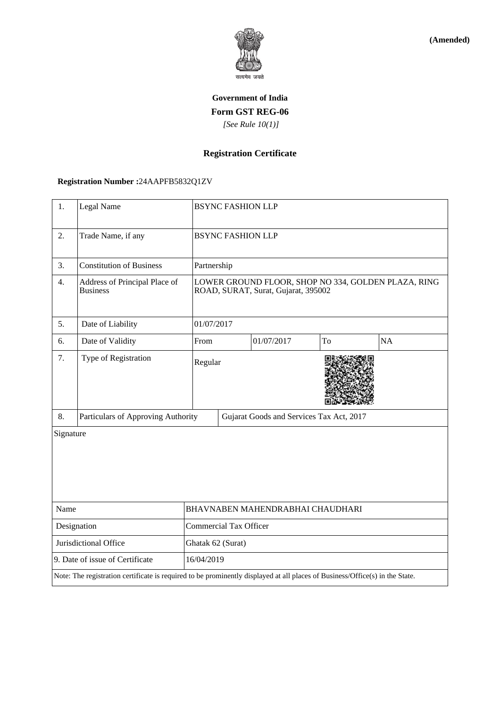

**(Amended)**

# **Government of India Form GST REG-06**  *[See Rule 10(1)]*

## **Registration Certificate**

### **Registration Number :**24AAPFB5832Q1ZV

| 1.                                                                                                                           | Legal Name                                       | <b>BSYNC FASHION LLP</b>                                                                   |                                          |            |    |    |  |
|------------------------------------------------------------------------------------------------------------------------------|--------------------------------------------------|--------------------------------------------------------------------------------------------|------------------------------------------|------------|----|----|--|
| 2.                                                                                                                           | Trade Name, if any                               | <b>BSYNC FASHION LLP</b>                                                                   |                                          |            |    |    |  |
| 3.                                                                                                                           | <b>Constitution of Business</b>                  | Partnership                                                                                |                                          |            |    |    |  |
| 4.                                                                                                                           | Address of Principal Place of<br><b>Business</b> | LOWER GROUND FLOOR, SHOP NO 334, GOLDEN PLAZA, RING<br>ROAD, SURAT, Surat, Gujarat, 395002 |                                          |            |    |    |  |
| 5.                                                                                                                           | Date of Liability                                | 01/07/2017                                                                                 |                                          |            |    |    |  |
| 6.                                                                                                                           | Date of Validity                                 | From                                                                                       |                                          | 01/07/2017 | To | NA |  |
| 7.                                                                                                                           | Type of Registration                             | Regular                                                                                    |                                          |            |    |    |  |
| 8.                                                                                                                           | Particulars of Approving Authority               |                                                                                            | Gujarat Goods and Services Tax Act, 2017 |            |    |    |  |
| Signature                                                                                                                    |                                                  |                                                                                            |                                          |            |    |    |  |
| Name                                                                                                                         |                                                  | BHAVNABEN MAHENDRABHAI CHAUDHARI                                                           |                                          |            |    |    |  |
| Designation                                                                                                                  |                                                  | <b>Commercial Tax Officer</b>                                                              |                                          |            |    |    |  |
| Jurisdictional Office                                                                                                        |                                                  | Ghatak 62 (Surat)                                                                          |                                          |            |    |    |  |
| 9. Date of issue of Certificate                                                                                              |                                                  | 16/04/2019                                                                                 |                                          |            |    |    |  |
| Note: The registration certificate is required to be prominently displayed at all places of Business/Office(s) in the State. |                                                  |                                                                                            |                                          |            |    |    |  |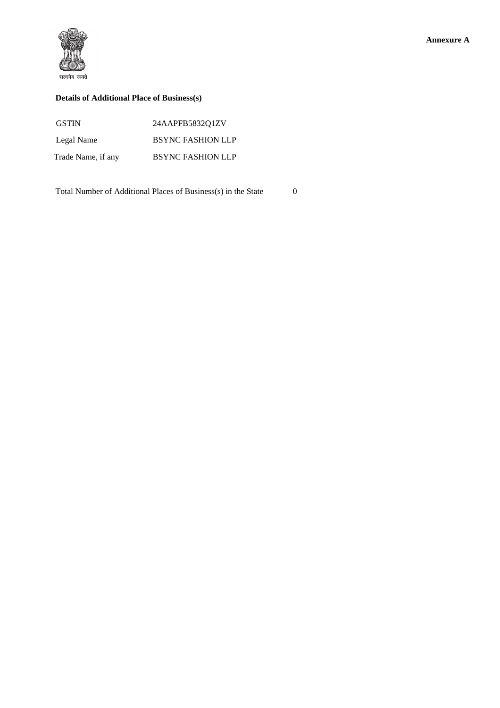

#### **Details of Additional Place of Business(s)**

| <b>GSTIN</b>       | 24AAPFB5832O1ZV          |
|--------------------|--------------------------|
| Legal Name         | <b>BSYNC FASHION LLP</b> |
| Trade Name, if any | <b>BSYNC FASHION LLP</b> |

Total Number of Additional Places of Business(s) in the State 0